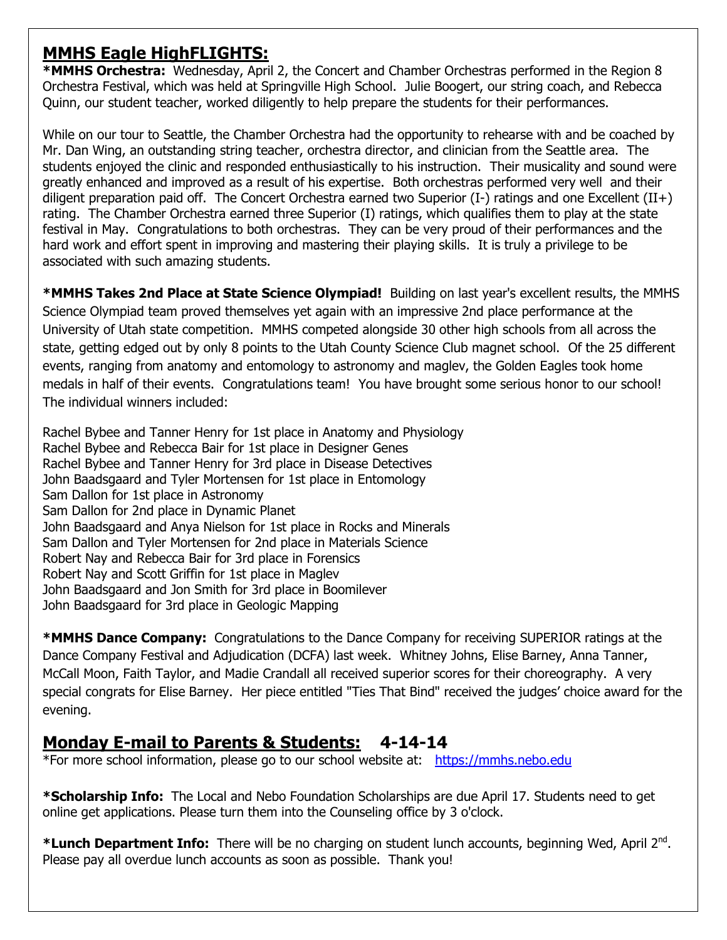## **MMHS Eagle HighFLIGHTS:**

**\*MMHS Orchestra:** Wednesday, April 2, the Concert and Chamber Orchestras performed in the Region 8 Orchestra Festival, which was held at Springville High School. Julie Boogert, our string coach, and Rebecca Quinn, our student teacher, worked diligently to help prepare the students for their performances.

While on our tour to Seattle, the Chamber Orchestra had the opportunity to rehearse with and be coached by Mr. Dan Wing, an outstanding string teacher, orchestra director, and clinician from the Seattle area. The students enjoyed the clinic and responded enthusiastically to his instruction. Their musicality and sound were greatly enhanced and improved as a result of his expertise. Both orchestras performed very well and their diligent preparation paid off. The Concert Orchestra earned two Superior (I-) ratings and one Excellent (II+) rating. The Chamber Orchestra earned three Superior (I) ratings, which qualifies them to play at the state festival in May. Congratulations to both orchestras. They can be very proud of their performances and the hard work and effort spent in improving and mastering their playing skills. It is truly a privilege to be associated with such amazing students.

**\*MMHS Takes 2nd Place at State Science Olympiad!** Building on last year's excellent results, the MMHS Science Olympiad team proved themselves yet again with an impressive 2nd place performance at the University of Utah state competition. MMHS competed alongside 30 other high schools from all across the state, getting edged out by only 8 points to the Utah County Science Club magnet school. Of the 25 different events, ranging from anatomy and entomology to astronomy and maglev, the Golden Eagles took home medals in half of their events. Congratulations team! You have brought some serious honor to our school! The individual winners included:

Rachel Bybee and Tanner Henry for 1st place in Anatomy and Physiology Rachel Bybee and Rebecca Bair for 1st place in Designer Genes Rachel Bybee and Tanner Henry for 3rd place in Disease Detectives John Baadsgaard and Tyler Mortensen for 1st place in Entomology Sam Dallon for 1st place in Astronomy Sam Dallon for 2nd place in Dynamic Planet John Baadsgaard and Anya Nielson for 1st place in Rocks and Minerals Sam Dallon and Tyler Mortensen for 2nd place in Materials Science Robert Nay and Rebecca Bair for 3rd place in Forensics Robert Nay and Scott Griffin for 1st place in Maglev John Baadsgaard and Jon Smith for 3rd place in Boomilever John Baadsgaard for 3rd place in Geologic Mapping

**\*MMHS Dance Company:** Congratulations to the Dance Company for receiving SUPERIOR ratings at the Dance Company Festival and Adjudication (DCFA) last week. Whitney Johns, Elise Barney, Anna Tanner, McCall Moon, Faith Taylor, and Madie Crandall all received superior scores for their choreography. A very special congrats for Elise Barney. Her piece entitled "Ties That Bind" received the judges' choice award for the evening.

## **Monday E-mail to Parents & Students: 4-14-14**

\*For more school information, please go to our school website at: [https://mmhs.nebo.edu](https://mmhs.nebo.edu/)

**\*Scholarship Info:** The Local and Nebo Foundation Scholarships are due April 17. Students need to get online get applications. Please turn them into the Counseling office by 3 o'clock.

\*Lunch Department Info: There will be no charging on student lunch accounts, beginning Wed, April 2<sup>nd</sup>. Please pay all overdue lunch accounts as soon as possible. Thank you!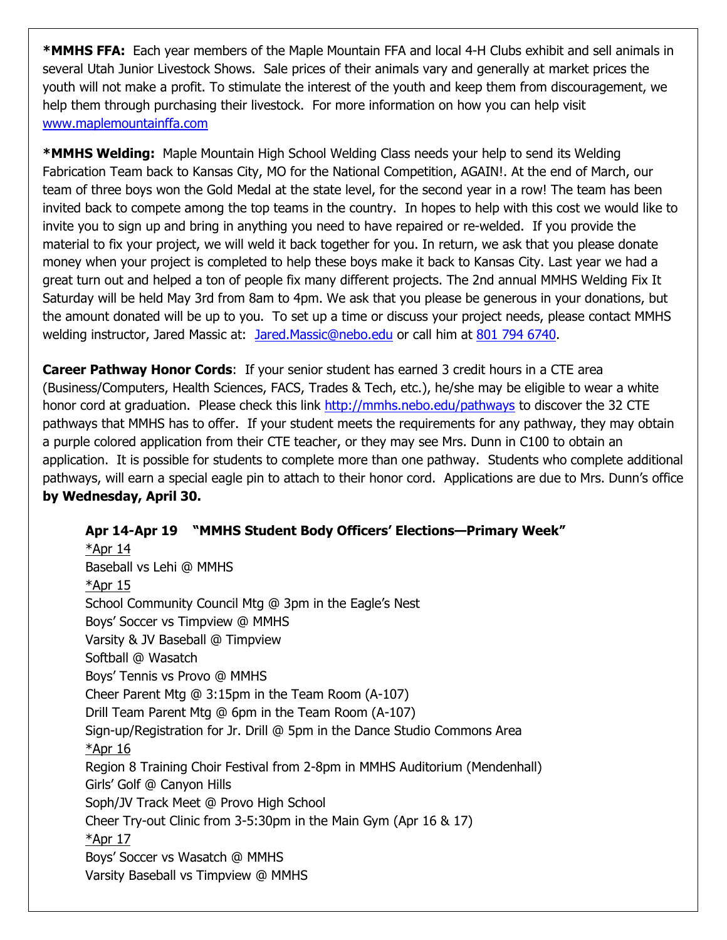**\*MMHS FFA:** Each year members of the Maple Mountain FFA and local 4-H Clubs exhibit and sell animals in several Utah Junior Livestock Shows. Sale prices of their animals vary and generally at market prices the youth will not make a profit. To stimulate the interest of the youth and keep them from discouragement, we help them through purchasing their livestock. For more information on how you can help visit [www.maplemountainffa.com](http://www.maplemountainffa.com/)

**\*MMHS Welding:** Maple Mountain High School Welding Class needs your help to send its Welding Fabrication Team back to Kansas City, MO for the National Competition, AGAIN!. At the end of March, our team of three boys won the Gold Medal at the state level, for the second year in a row! The team has been invited back to compete among the top teams in the country. In hopes to help with this cost we would like to invite you to sign up and bring in anything you need to have repaired or re-welded. If you provide the material to fix your project, we will weld it back together for you. In return, we ask that you please donate money when your project is completed to help these boys make it back to Kansas City. Last year we had a great turn out and helped a ton of people fix many different projects. The 2nd annual MMHS Welding Fix It Saturday will be held May 3rd from 8am to 4pm. We ask that you please be generous in your donations, but the amount donated will be up to you. To set up a time or discuss your project needs, please contact MMHS welding instructor, Jared Massic at: [Jared.Massic@nebo.edu](mailto:Jared.Massic@nebo.edu) or call him at [801 794 6740.](tel:801%20794%206740)

**Career Pathway Honor Cords**: If your senior student has earned 3 credit hours in a CTE area (Business/Computers, Health Sciences, FACS, Trades & Tech, etc.), he/she may be eligible to wear a white honor cord at graduation. Please check this link<http://mmhs.nebo.edu/pathways> to discover the 32 CTE pathways that MMHS has to offer. If your student meets the requirements for any pathway, they may obtain a purple colored application from their CTE teacher, or they may see Mrs. Dunn in C100 to obtain an application. It is possible for students to complete more than one pathway. Students who complete additional pathways, will earn a special eagle pin to attach to their honor cord. Applications are due to Mrs. Dunn's office **by Wednesday, April 30.**

**Apr 14-Apr 19 "MMHS Student Body Officers' Elections—Primary Week"**  $*$ Apr 14 Baseball vs Lehi @ MMHS  $*A$ pr 15 School Community Council Mtg @ 3pm in the Eagle's Nest Boys' Soccer vs Timpview @ MMHS Varsity & JV Baseball @ Timpview Softball @ Wasatch Boys' Tennis vs Provo @ MMHS Cheer Parent Mtg @ 3:15pm in the Team Room (A-107) Drill Team Parent Mtg @ 6pm in the Team Room (A-107) Sign-up/Registration for Jr. Drill @ 5pm in the Dance Studio Commons Area  $*$ Apr 16 Region 8 Training Choir Festival from 2-8pm in MMHS Auditorium (Mendenhall) Girls' Golf @ Canyon Hills Soph/JV Track Meet @ Provo High School Cheer Try-out Clinic from 3-5:30pm in the Main Gym (Apr 16 & 17)  $*Apr 17$ Boys' Soccer vs Wasatch @ MMHS Varsity Baseball vs Timpview @ MMHS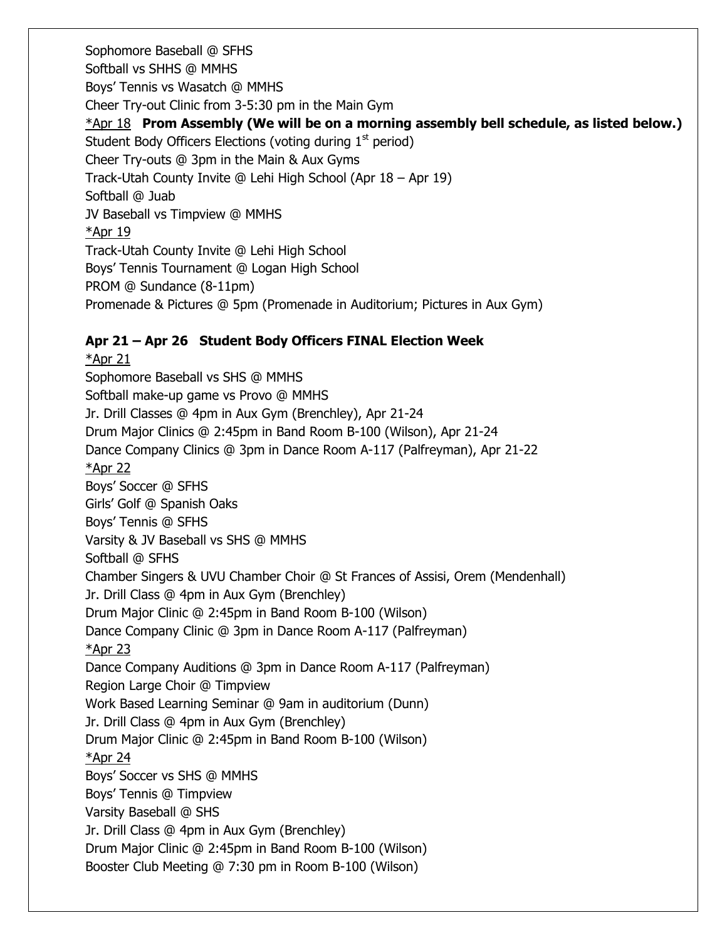Sophomore Baseball @ SFHS Softball vs SHHS @ MMHS Boys' Tennis vs Wasatch @ MMHS Cheer Try-out Clinic from 3-5:30 pm in the Main Gym \*Apr 18 **Prom Assembly (We will be on a morning assembly bell schedule, as listed below.)** Student Body Officers Elections (voting during 1<sup>st</sup> period) Cheer Try-outs @ 3pm in the Main & Aux Gyms Track-Utah County Invite @ Lehi High School (Apr 18 – Apr 19) Softball @ Juab JV Baseball vs Timpview @ MMHS \*Apr 19 Track-Utah County Invite @ Lehi High School Boys' Tennis Tournament @ Logan High School PROM @ Sundance (8-11pm) Promenade & Pictures @ 5pm (Promenade in Auditorium; Pictures in Aux Gym)

## **Apr 21 – Apr 26 Student Body Officers FINAL Election Week**

\*Apr 21 Sophomore Baseball vs SHS @ MMHS Softball make-up game vs Provo @ MMHS Jr. Drill Classes @ 4pm in Aux Gym (Brenchley), Apr 21-24 Drum Major Clinics @ 2:45pm in Band Room B-100 (Wilson), Apr 21-24 Dance Company Clinics @ 3pm in Dance Room A-117 (Palfreyman), Apr 21-22 \*Apr 22 Boys' Soccer @ SFHS Girls' Golf @ Spanish Oaks Boys' Tennis @ SFHS Varsity & JV Baseball vs SHS @ MMHS Softball @ SFHS Chamber Singers & UVU Chamber Choir @ St Frances of Assisi, Orem (Mendenhall) Jr. Drill Class @ 4pm in Aux Gym (Brenchley) Drum Major Clinic @ 2:45pm in Band Room B-100 (Wilson) Dance Company Clinic @ 3pm in Dance Room A-117 (Palfreyman) \*Apr 23 Dance Company Auditions @ 3pm in Dance Room A-117 (Palfreyman) Region Large Choir @ Timpview Work Based Learning Seminar @ 9am in auditorium (Dunn) Jr. Drill Class @ 4pm in Aux Gym (Brenchley) Drum Major Clinic @ 2:45pm in Band Room B-100 (Wilson) \*Apr 24 Boys' Soccer vs SHS @ MMHS Boys' Tennis @ Timpview Varsity Baseball @ SHS Jr. Drill Class @ 4pm in Aux Gym (Brenchley) Drum Major Clinic @ 2:45pm in Band Room B-100 (Wilson) Booster Club Meeting @ 7:30 pm in Room B-100 (Wilson)